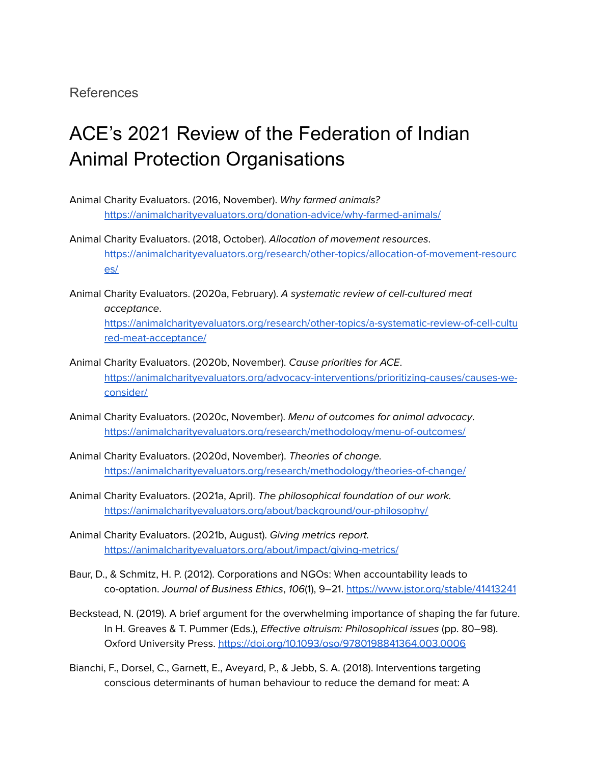## References

## ACE's 2021 Review of the Federation of Indian Animal Protection Organisations

- Animal Charity Evaluators. (2016, November). Why farmed animals? <https://animalcharityevaluators.org/donation-advice/why-farmed-animals/>
- Animal Charity Evaluators. (2018, October). Allocation of movement resources. [https://animalcharityevaluators.org/research/other-topics/allocation-of-movement-resourc](https://animalcharityevaluators.org/research/other-topics/allocation-of-movement-resources/) [es/](https://animalcharityevaluators.org/research/other-topics/allocation-of-movement-resources/)
- Animal Charity Evaluators. (2020a, February). A systematic review of cell-cultured meat acceptance.

[https://animalcharityevaluators.org/research/other-topics/a-systematic-review-of-cell-cultu](https://animalcharityevaluators.org/research/other-topics/a-systematic-review-of-cell-cultured-meat-acceptance/) [red-meat-acceptance/](https://animalcharityevaluators.org/research/other-topics/a-systematic-review-of-cell-cultured-meat-acceptance/)

- Animal Charity Evaluators. (2020b, November). Cause priorities for ACE. [https://animalcharityevaluators.org/advocacy-interventions/prioritizing-causes/causes-we](https://animalcharityevaluators.org/advocacy-interventions/prioritizing-causes/causes-we-consider/)[consider/](https://animalcharityevaluators.org/advocacy-interventions/prioritizing-causes/causes-we-consider/)
- Animal Charity Evaluators. (2020c, November). Menu of outcomes for animal advocacy. <https://animalcharityevaluators.org/research/methodology/menu-of-outcomes/>
- Animal Charity Evaluators. (2020d, November). Theories of change. <https://animalcharityevaluators.org/research/methodology/theories-of-change/>
- Animal Charity Evaluators. (2021a, April). The philosophical foundation of our work. <https://animalcharityevaluators.org/about/background/our-philosophy/>
- Animal Charity Evaluators. (2021b, August). Giving metrics report. <https://animalcharityevaluators.org/about/impact/giving-metrics/>
- Baur, D., & Schmitz, H. P. (2012). Corporations and NGOs: When accountability leads to co-optation. Journal of Business Ethics, 106(1), 9–21. <https://www.jstor.org/stable/41413241>
- Beckstead, N. (2019). A brief argument for the overwhelming importance of shaping the far future. In H. Greaves & T. Pummer (Eds.), Effective altruism: Philosophical issues (pp. 80–98). Oxford University Press. <https://doi.org/10.1093/oso/9780198841364.003.0006>
- Bianchi, F., Dorsel, C., Garnett, E., Aveyard, P., & Jebb, S. A. (2018). Interventions targeting conscious determinants of human behaviour to reduce the demand for meat: A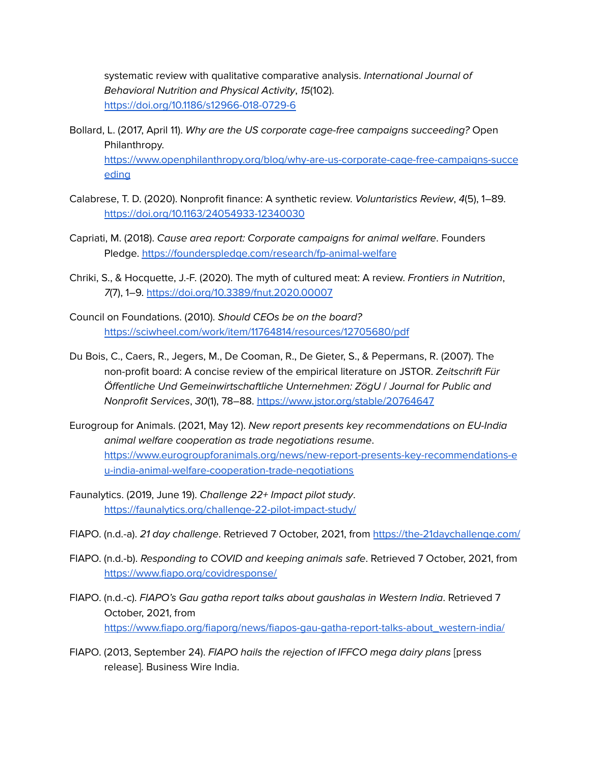systematic review with qualitative comparative analysis. [International](https://ijbnpa.biomedcentral.com/) Journal of [Behavioral](https://ijbnpa.biomedcentral.com/) Nutrition and Physical Activity, 15(102). <https://doi.org/10.1186/s12966-018-0729-6>

- Bollard, L. (2017, April 11). Why are the US corporate cage-free campaigns succeeding? Open Philanthropy. [https://www.openphilanthropy.org/blog/why-are-us-corporate-cage-free-campaigns-succe](https://www.openphilanthropy.org/blog/why-are-us-corporate-cage-free-campaigns-succeeding) [eding](https://www.openphilanthropy.org/blog/why-are-us-corporate-cage-free-campaigns-succeeding)
- Calabrese, T. D. (2020). Nonprofit finance: A synthetic review. Voluntaristics Review, 4(5), 1–89. <https://doi.org/10.1163/24054933-12340030>
- Capriati, M. (2018). Cause area report: Corporate campaigns for animal welfare. Founders Pledge. <https://founderspledge.com/research/fp-animal-welfare>
- Chriki, S., & Hocquette, J.-F. (2020). The myth of cultured meat: A review. Frontiers in Nutrition, 7(7), 1–9. <https://doi.org/10.3389/fnut.2020.00007>
- Council on Foundations. (2010). Should CEOs be on the board? <https://sciwheel.com/work/item/11764814/resources/12705680/pdf>
- Du Bois, C., Caers, R., Jegers, M., De Cooman, R., De Gieter, S., & Pepermans, R. (2007). The non-profit board: A concise review of the empirical literature on JSTOR. Zeitschrift Für Öffentliche Und Gemeinwirtschaftliche Unternehmen: ZögU / Journal for Public and Nonprofit Services, 30(1), 78–88. <https://www.jstor.org/stable/20764647>
- Eurogroup for Animals. (2021, May 12). New report presents key recommendations on EU-India animal welfare cooperation as trade negotiations resume. [https://www.eurogroupforanimals.org/news/new-report-presents-key-recommendations-e](https://www.eurogroupforanimals.org/news/new-report-presents-key-recommendations-eu-india-animal-welfare-cooperation-trade-negotiations) [u-india-animal-welfare-cooperation-trade-negotiations](https://www.eurogroupforanimals.org/news/new-report-presents-key-recommendations-eu-india-animal-welfare-cooperation-trade-negotiations)
- Faunalytics. (2019, June 19). Challenge 22+ Impact pilot study. <https://faunalytics.org/challenge-22-pilot-impact-study/>
- FIAPO. (n.d.-a). 21 day challenge. Retrieved 7 October, 2021, from <https://the-21daychallenge.com/>
- FIAPO. (n.d.-b). Responding to COVID and keeping animals safe. Retrieved 7 October, 2021, from <https://www.fiapo.org/covidresponse/>
- FIAPO. (n.d.-c). FIAPO's Gau gatha report talks about gaushalas in Western India. Retrieved 7 October, 2021, from [https://www.fiapo.org/fiaporg/news/fiapos-gau-gatha-report-talks-about\\_western-india/](https://www.fiapo.org/fiaporg/news/fiapos-gau-gatha-report-talks-about_western-india/)
- FIAPO. (2013, September 24). FIAPO hails the rejection of IFFCO mega dairy plans [press release]. Business Wire India.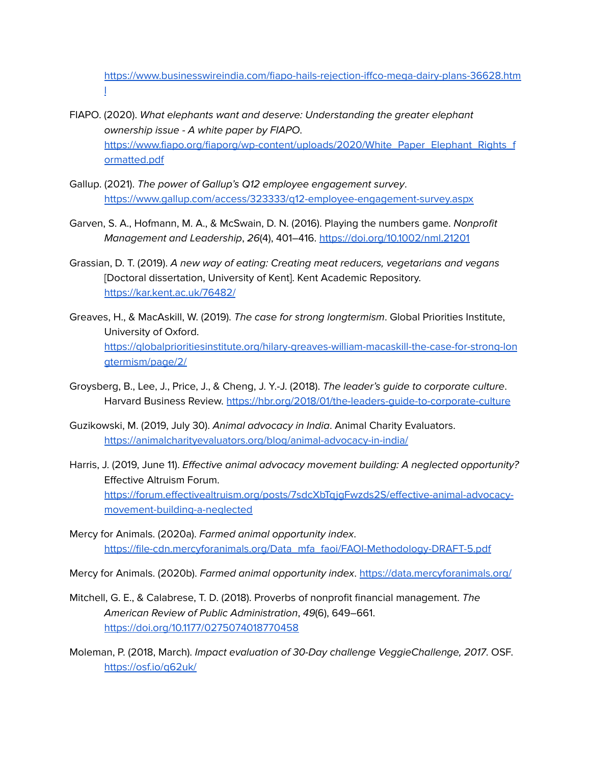[https://www.businesswireindia.com/fiapo-hails-rejection-iffco-mega-dairy-plans-36628.htm](https://www.businesswireindia.com/fiapo-hails-rejection-iffco-mega-dairy-plans-36628.html) [l](https://www.businesswireindia.com/fiapo-hails-rejection-iffco-mega-dairy-plans-36628.html)

- FIAPO. (2020). What elephants want and deserve: Understanding the greater elephant ownership issue - A white paper by FIAPO. [https://www.fiapo.org/fiaporg/wp-content/uploads/2020/White\\_Paper\\_Elephant\\_Rights\\_f](https://www.fiapo.org/fiaporg/wp-content/uploads/2020/White_Paper_Elephant_Rights_formatted.pdf) [ormatted.pdf](https://www.fiapo.org/fiaporg/wp-content/uploads/2020/White_Paper_Elephant_Rights_formatted.pdf)
- Gallup. (2021). The power of Gallup's Q12 employee engagement survey. <https://www.gallup.com/access/323333/q12-employee-engagement-survey.aspx>
- Garven, S. A., Hofmann, M. A., & McSwain, D. N. (2016). Playing the numbers game. Nonprofit Management and Leadership, 26(4), 401–416. <https://doi.org/10.1002/nml.21201>
- Grassian, D. T. (2019). A new way of eating: Creating meat reducers, vegetarians and vegans [Doctoral dissertation, University of Kent]. Kent Academic Repository. <https://kar.kent.ac.uk/76482/>
- Greaves, H., & MacAskill, W. (2019). The case for strong longtermism. Global Priorities Institute, University of Oxford. [https://globalprioritiesinstitute.org/hilary-greaves-william-macaskill-the-case-for-strong-lon](https://globalprioritiesinstitute.org/hilary-greaves-william-macaskill-the-case-for-strong-longtermism/page/2/) [gtermism/page/2/](https://globalprioritiesinstitute.org/hilary-greaves-william-macaskill-the-case-for-strong-longtermism/page/2/)
- Groysberg, B., Lee, J., Price, J., & Cheng, J. Y.-J. (2018). The leader's guide to corporate culture. Harvard Business Review. <https://hbr.org/2018/01/the-leaders-guide-to-corporate-culture>
- Guzikowski, M. (2019, July 30). Animal advocacy in India. Animal Charity Evaluators. <https://animalcharityevaluators.org/blog/animal-advocacy-in-india/>
- Harris, J. (2019, June 11). Effective animal advocacy movement building: A neglected opportunity? Effective Altruism Forum. [https://forum.effectivealtruism.org/posts/7sdcXbTqjgFwzds2S/effective-animal-advocacy](https://forum.effectivealtruism.org/posts/7sdcXbTqjgFwzds2S/effective-animal-advocacy-movement-building-a-neglected)[movement-building-a-neglected](https://forum.effectivealtruism.org/posts/7sdcXbTqjgFwzds2S/effective-animal-advocacy-movement-building-a-neglected)
- Mercy for Animals. (2020a). Farmed animal opportunity index. [https://file-cdn.mercyforanimals.org/Data\\_mfa\\_faoi/FAOI-Methodology-DRAFT-5.pdf](https://file-cdn.mercyforanimals.org/Data_mfa_faoi/FAOI-Methodology-DRAFT-5.pdf)
- Mercy for Animals. (2020b). Farmed animal opportunity index. <https://data.mercyforanimals.org/>
- Mitchell, G. E., & Calabrese, T. D. (2018). Proverbs of nonprofit financial management. The American Review of Public Administration, 49(6), 649–661. <https://doi.org/10.1177/0275074018770458>
- Moleman, P. (2018, March). Impact evaluation of 30-Day challenge VeggieChallenge, 2017. OSF. <https://osf.io/q62uk/>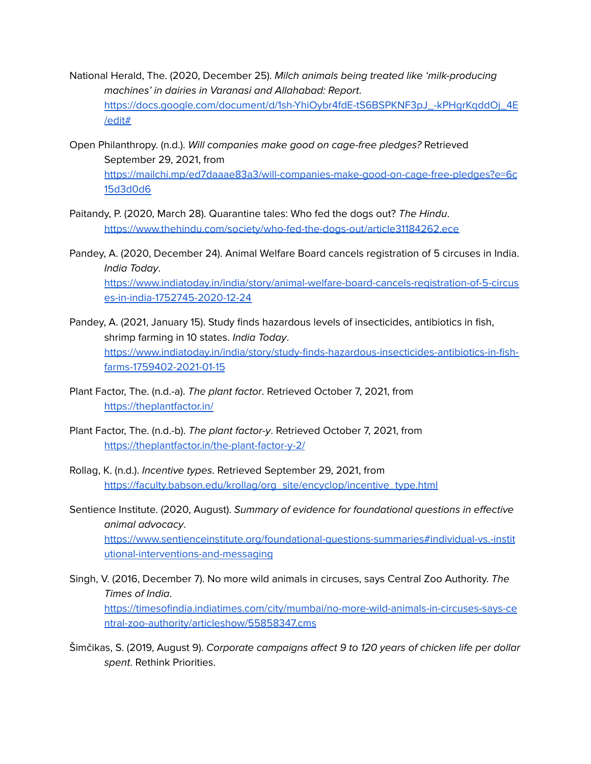- National Herald, The. (2020, December 25). Milch animals being treated like 'milk-producing machines' in dairies in Varanasi and Allahabad: Report. [https://docs.google.com/document/d/1sh-YhiOybr4fdE-tS6BSPKNF3pJ\\_-kPHgrKqddOj\\_4E](https://www.nationalheraldindia.com/india/milch-animals-being-treated-like-milk-producing-machines-in-dairies-in-varanasi-and-allahabad-report) [/edit#](https://www.nationalheraldindia.com/india/milch-animals-being-treated-like-milk-producing-machines-in-dairies-in-varanasi-and-allahabad-report)
- Open Philanthropy. (n.d.). Will companies make good on cage-free pledges? Retrieved September 29, 2021, from [https://mailchi.mp/ed7daaae83a3/will-companies-make-good-on-cage-free-pledges?e=6c](https://mailchi.mp/ed7daaae83a3/will-companies-make-good-on-cage-free-pledges?e=6c15d3d0d6) [15d3d0d6](https://mailchi.mp/ed7daaae83a3/will-companies-make-good-on-cage-free-pledges?e=6c15d3d0d6)
- Paitandy, P. (2020, March 28). Quarantine tales: Who fed the dogs out? The Hindu. <https://www.thehindu.com/society/who-fed-the-dogs-out/article31184262.ece>
- Pandey, A. (2020, December 24). Animal Welfare Board cancels registration of 5 circuses in India. India Today. [https://www.indiatoday.in/india/story/animal-welfare-board-cancels-registration-of-5-circus](https://www.indiatoday.in/india/story/animal-welfare-board-cancels-registration-of-5-circuses-in-india-1752745-2020-12-24) [es-in-india-1752745-2020-12-24](https://www.indiatoday.in/india/story/animal-welfare-board-cancels-registration-of-5-circuses-in-india-1752745-2020-12-24)
- Pandey, A. (2021, January 15). Study finds hazardous levels of insecticides, antibiotics in fish, shrimp farming in 10 states. India Today. [https://www.indiatoday.in/india/story/study-finds-hazardous-insecticides-antibiotics-in-fish](https://www.indiatoday.in/india/story/study-finds-hazardous-insecticides-antibiotics-in-fish-farms-1759402-2021-01-15)[farms-1759402-2021-01-15](https://www.indiatoday.in/india/story/study-finds-hazardous-insecticides-antibiotics-in-fish-farms-1759402-2021-01-15)
- Plant Factor, The. (n.d.-a). The plant factor. Retrieved October 7, 2021, from <https://theplantfactor.in/>
- Plant Factor, The. (n.d.-b). The plant factor-y. Retrieved October 7, 2021, from <https://theplantfactor.in/the-plant-factor-y-2/>
- Rollag, K. (n.d.). Incentive types. Retrieved September 29, 2021, from [https://faculty.babson.edu/krollag/org\\_site/encyclop/incentive\\_type.html](https://faculty.babson.edu/krollag/org_site/encyclop/incentive_type.html)
- Sentience Institute. (2020, August). Summary of evidence for foundational questions in effective animal advocacy. [https://www.sentienceinstitute.org/foundational-questions-summaries#individual-vs.-instit](https://www.sentienceinstitute.org/foundational-questions-summaries#individual-vs.-institutional-interventions-and-messaging) [utional-interventions-and-messaging](https://www.sentienceinstitute.org/foundational-questions-summaries#individual-vs.-institutional-interventions-and-messaging)
- Singh, V. (2016, December 7). No more wild animals in circuses, says Central Zoo Authority. The Times of India. [https://timesofindia.indiatimes.com/city/mumbai/no-more-wild-animals-in-circuses-says-ce](https://timesofindia.indiatimes.com/city/mumbai/no-more-wild-animals-in-circuses-says-central-zoo-authority/articleshow/55858347.cms) [ntral-zoo-authority/articleshow/55858347.cms](https://timesofindia.indiatimes.com/city/mumbai/no-more-wild-animals-in-circuses-says-central-zoo-authority/articleshow/55858347.cms)
- Šimčikas, S. (2019, August 9). Corporate campaigns affect 9 to 120 years of chicken life per dollar spent. Rethink Priorities.